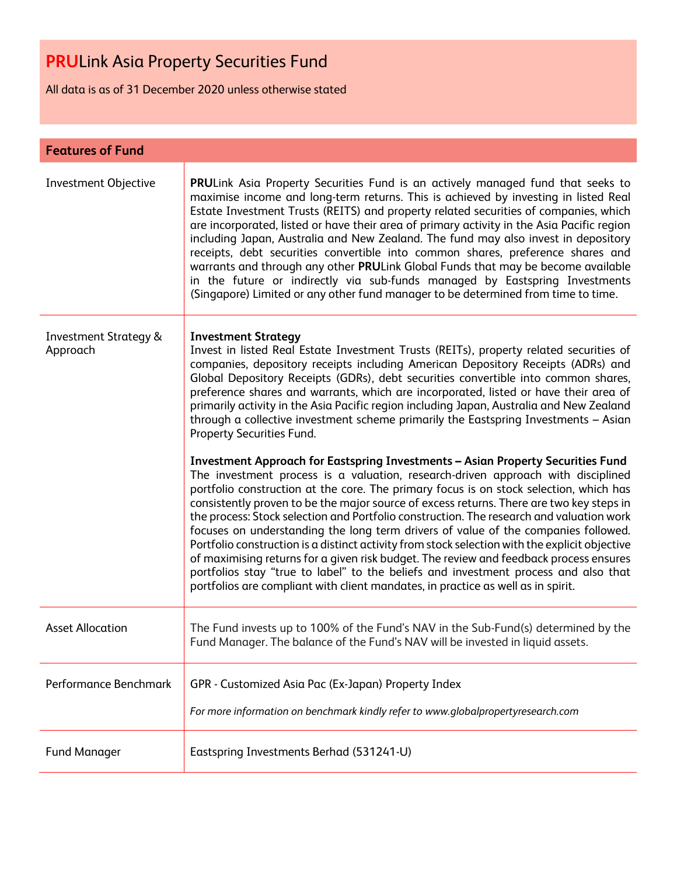All data is as of 31 December 2020 unless otherwise stated

| <b>Features of Fund</b>                      |                                                                                                                                                                                                                                                                                                                                                                                                                                                                                                                                                                                                                                                                                                                                                                                                                                                                                                                                                                            |
|----------------------------------------------|----------------------------------------------------------------------------------------------------------------------------------------------------------------------------------------------------------------------------------------------------------------------------------------------------------------------------------------------------------------------------------------------------------------------------------------------------------------------------------------------------------------------------------------------------------------------------------------------------------------------------------------------------------------------------------------------------------------------------------------------------------------------------------------------------------------------------------------------------------------------------------------------------------------------------------------------------------------------------|
| <b>Investment Objective</b>                  | PRULink Asia Property Securities Fund is an actively managed fund that seeks to<br>maximise income and long-term returns. This is achieved by investing in listed Real<br>Estate Investment Trusts (REITS) and property related securities of companies, which<br>are incorporated, listed or have their area of primary activity in the Asia Pacific region<br>including Japan, Australia and New Zealand. The fund may also invest in depository<br>receipts, debt securities convertible into common shares, preference shares and<br>warrants and through any other PRULink Global Funds that may be become available<br>in the future or indirectly via sub-funds managed by Eastspring Investments<br>(Singapore) Limited or any other fund manager to be determined from time to time.                                                                                                                                                                              |
| <b>Investment Strategy &amp;</b><br>Approach | <b>Investment Strategy</b><br>Invest in listed Real Estate Investment Trusts (REITs), property related securities of<br>companies, depository receipts including American Depository Receipts (ADRs) and<br>Global Depository Receipts (GDRs), debt securities convertible into common shares,<br>preference shares and warrants, which are incorporated, listed or have their area of<br>primarily activity in the Asia Pacific region including Japan, Australia and New Zealand<br>through a collective investment scheme primarily the Eastspring Investments - Asian<br>Property Securities Fund.<br><b>Investment Approach for Eastspring Investments - Asian Property Securities Fund</b><br>The investment process is a valuation, research-driven approach with disciplined<br>portfolio construction at the core. The primary focus is on stock selection, which has<br>consistently proven to be the major source of excess returns. There are two key steps in |
|                                              | the process: Stock selection and Portfolio construction. The research and valuation work<br>focuses on understanding the long term drivers of value of the companies followed.<br>Portfolio construction is a distinct activity from stock selection with the explicit objective<br>of maximising returns for a given risk budget. The review and feedback process ensures<br>portfolios stay "true to label" to the beliefs and investment process and also that<br>portfolios are compliant with client mandates, in practice as well as in spirit.                                                                                                                                                                                                                                                                                                                                                                                                                      |
| <b>Asset Allocation</b>                      | The Fund invests up to 100% of the Fund's NAV in the Sub-Fund(s) determined by the<br>Fund Manager. The balance of the Fund's NAV will be invested in liquid assets.                                                                                                                                                                                                                                                                                                                                                                                                                                                                                                                                                                                                                                                                                                                                                                                                       |
| Performance Benchmark                        | GPR - Customized Asia Pac (Ex-Japan) Property Index<br>For more information on benchmark kindly refer to www.globalpropertyresearch.com                                                                                                                                                                                                                                                                                                                                                                                                                                                                                                                                                                                                                                                                                                                                                                                                                                    |
| <b>Fund Manager</b>                          | Eastspring Investments Berhad (531241-U)                                                                                                                                                                                                                                                                                                                                                                                                                                                                                                                                                                                                                                                                                                                                                                                                                                                                                                                                   |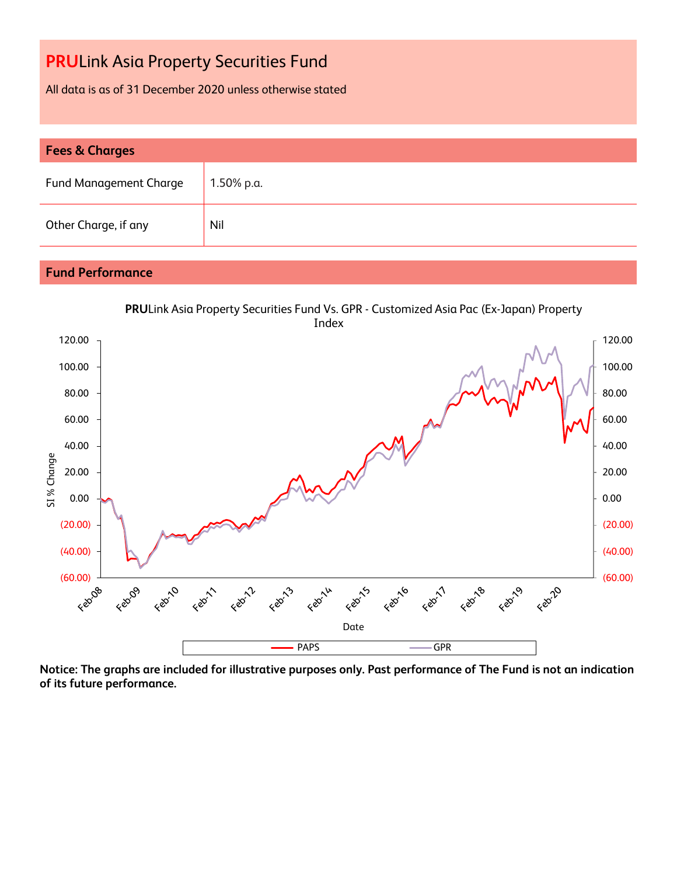All data is as of 31 December 2020 unless otherwise stated

| <b>Fees &amp; Charges</b>     |            |  |  |  |
|-------------------------------|------------|--|--|--|
| <b>Fund Management Charge</b> | 1.50% p.a. |  |  |  |
| Other Charge, if any          | Nil        |  |  |  |

### **Fund Performance**



**Notice: The graphs are included for illustrative purposes only. Past performance of The Fund is not an indication of its future performance.**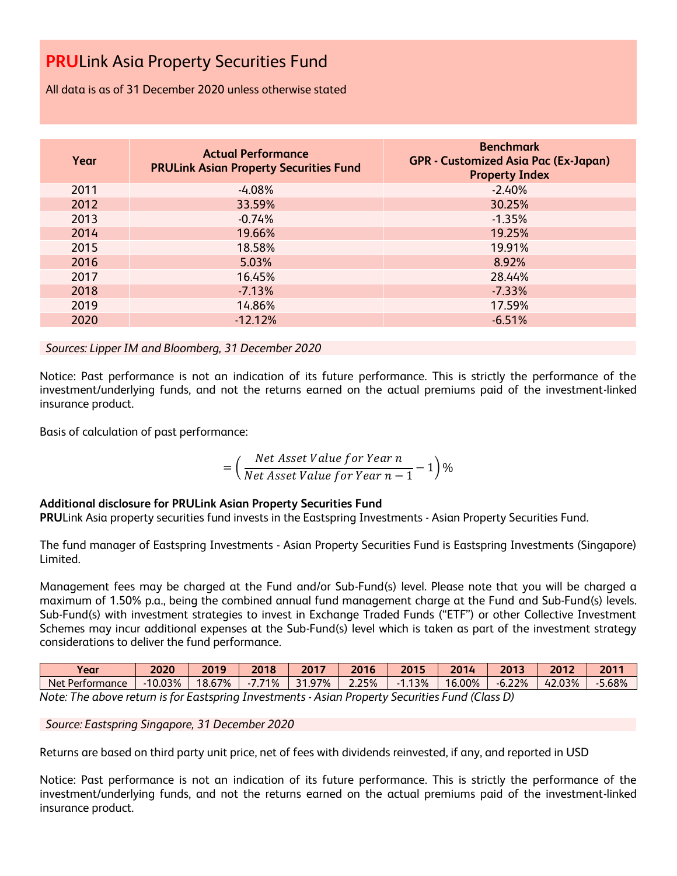All data is as of 31 December 2020 unless otherwise stated

| Year | <b>Actual Performance</b><br><b>PRULink Asian Property Securities Fund</b> | <b>Benchmark</b><br><b>GPR - Customized Asia Pac (Ex-Japan)</b><br><b>Property Index</b> |
|------|----------------------------------------------------------------------------|------------------------------------------------------------------------------------------|
| 2011 | $-4.08%$                                                                   | $-2.40%$                                                                                 |
| 2012 | 33.59%                                                                     | 30.25%                                                                                   |
| 2013 | $-0.74%$                                                                   | $-1.35%$                                                                                 |
| 2014 | 19.66%                                                                     | 19.25%                                                                                   |
| 2015 | 18.58%                                                                     | 19.91%                                                                                   |
| 2016 | 5.03%                                                                      | 8.92%                                                                                    |
| 2017 | 16.45%                                                                     | 28.44%                                                                                   |
| 2018 | $-7.13%$                                                                   | $-7.33%$                                                                                 |
| 2019 | 14.86%                                                                     | 17.59%                                                                                   |
| 2020 | $-12.12%$                                                                  | $-6.51%$                                                                                 |

*Sources: Lipper IM and Bloomberg, 31 December 2020*

Notice: Past performance is not an indication of its future performance. This is strictly the performance of the investment/underlying funds, and not the returns earned on the actual premiums paid of the investment-linked insurance product.

Basis of calculation of past performance:

$$
= \left(\frac{Net\ Asset\ Value\ for\ Year\ n}{Net\ Asset\ Value\ for\ Year\ n-1} - 1\right)\%
$$

#### **Additional disclosure for PRULink Asian Property Securities Fund**

**PRU**Link Asia property securities fund invests in the Eastspring Investments - Asian Property Securities Fund.

The fund manager of Eastspring Investments - Asian Property Securities Fund is Eastspring Investments (Singapore) Limited.

Management fees may be charged at the Fund and/or Sub-Fund(s) level. Please note that you will be charged a maximum of 1.50% p.a., being the combined annual fund management charge at the Fund and Sub-Fund(s) levels. Sub-Fund(s) with investment strategies to invest in Exchange Traded Funds ("ETF") or other Collective Investment Schemes may incur additional expenses at the Sub-Fund(s) level which is taken as part of the investment strategy considerations to deliver the fund performance.

| Year                                                                                             | 2020      | 2019   | 2018            | 2017       | 2016  | 2015 | 2014   | 2013     | 2012   | 2011  |
|--------------------------------------------------------------------------------------------------|-----------|--------|-----------------|------------|-------|------|--------|----------|--------|-------|
| Net Performance                                                                                  | $-10.03%$ | 18.67% | 7.71%<br>$-1.1$ | .97%<br>21 | 2.25% | .13% | 16.00% | $-6.22%$ | 42.03% | 5.68% |
| Note: The above return is for Eastenring Investments<br>Acian Droporty Securities Eund (Class D) |           |        |                 |            |       |      |        |          |        |       |

*Note: The above return is for Eastspring Investments - Asian Property Securities Fund (Class D)*

*Source: Eastspring Singapore, 31 December 2020*

Returns are based on third party unit price, net of fees with dividends reinvested, if any, and reported in USD

Notice: Past performance is not an indication of its future performance. This is strictly the performance of the investment/underlying funds, and not the returns earned on the actual premiums paid of the investment-linked insurance product.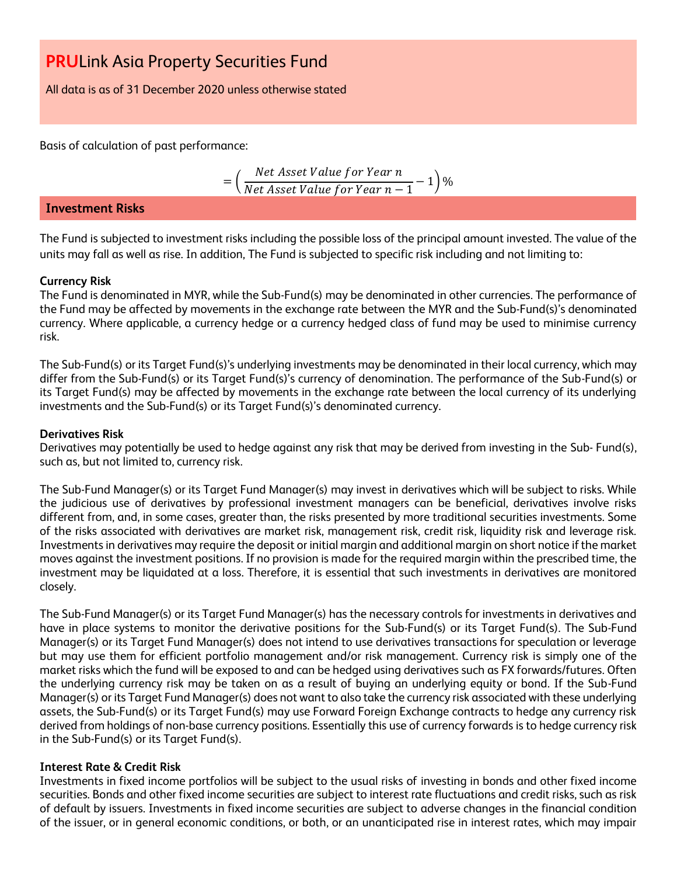All data is as of 31 December 2020 unless otherwise stated

Basis of calculation of past performance:

$$
= \left(\frac{Net\ Asset\ Value\ for\ Year\ n}{Net\ Asset\ Value\ for\ Year\ n-1} - 1\right)\%
$$

#### **Investment Risks**

The Fund is subjected to investment risks including the possible loss of the principal amount invested. The value of the units may fall as well as rise. In addition, The Fund is subjected to specific risk including and not limiting to:

#### **Currency Risk**

The Fund is denominated in MYR, while the Sub-Fund(s) may be denominated in other currencies. The performance of the Fund may be affected by movements in the exchange rate between the MYR and the Sub-Fund(s)'s denominated currency. Where applicable, a currency hedge or a currency hedged class of fund may be used to minimise currency risk.

The Sub-Fund(s) or its Target Fund(s)'s underlying investments may be denominated in their local currency, which may differ from the Sub-Fund(s) or its Target Fund(s)'s currency of denomination. The performance of the Sub-Fund(s) or its Target Fund(s) may be affected by movements in the exchange rate between the local currency of its underlying investments and the Sub-Fund(s) or its Target Fund(s)'s denominated currency.

#### **Derivatives Risk**

Derivatives may potentially be used to hedge against any risk that may be derived from investing in the Sub- Fund(s), such as, but not limited to, currency risk.

The Sub-Fund Manager(s) or its Target Fund Manager(s) may invest in derivatives which will be subject to risks. While the judicious use of derivatives by professional investment managers can be beneficial, derivatives involve risks different from, and, in some cases, greater than, the risks presented by more traditional securities investments. Some of the risks associated with derivatives are market risk, management risk, credit risk, liquidity risk and leverage risk. Investments in derivatives may require the deposit or initial margin and additional margin on short notice if the market moves against the investment positions. If no provision is made for the required margin within the prescribed time, the investment may be liquidated at a loss. Therefore, it is essential that such investments in derivatives are monitored closely.

The Sub-Fund Manager(s) or its Target Fund Manager(s) has the necessary controls for investments in derivatives and have in place systems to monitor the derivative positions for the Sub-Fund(s) or its Target Fund(s). The Sub-Fund Manager(s) or its Target Fund Manager(s) does not intend to use derivatives transactions for speculation or leverage but may use them for efficient portfolio management and/or risk management. Currency risk is simply one of the market risks which the fund will be exposed to and can be hedged using derivatives such as FX forwards/futures. Often the underlying currency risk may be taken on as a result of buying an underlying equity or bond. If the Sub-Fund Manager(s) or its Target Fund Manager(s) does not want to also take the currency risk associated with these underlying assets, the Sub-Fund(s) or its Target Fund(s) may use Forward Foreign Exchange contracts to hedge any currency risk derived from holdings of non-base currency positions. Essentially this use of currency forwards is to hedge currency risk in the Sub-Fund(s) or its Target Fund(s).

#### **Interest Rate & Credit Risk**

Investments in fixed income portfolios will be subject to the usual risks of investing in bonds and other fixed income securities. Bonds and other fixed income securities are subject to interest rate fluctuations and credit risks, such as risk of default by issuers. Investments in fixed income securities are subject to adverse changes in the financial condition of the issuer, or in general economic conditions, or both, or an unanticipated rise in interest rates, which may impair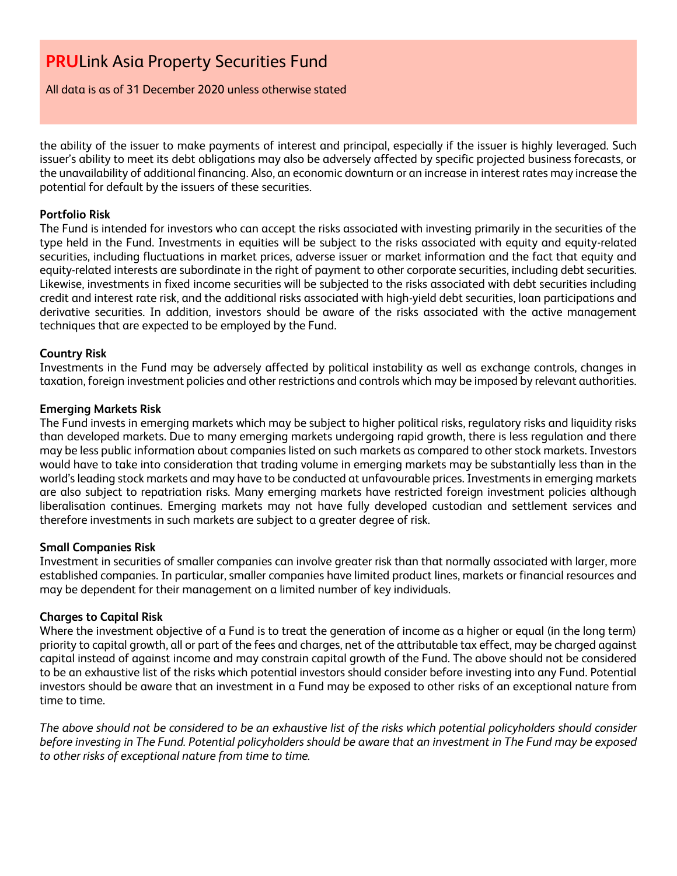All data is as of 31 December 2020 unless otherwise stated

the ability of the issuer to make payments of interest and principal, especially if the issuer is highly leveraged. Such issuer's ability to meet its debt obligations may also be adversely affected by specific projected business forecasts, or the unavailability of additional financing. Also, an economic downturn or an increase in interest rates may increase the potential for default by the issuers of these securities.

#### **Portfolio Risk**

The Fund is intended for investors who can accept the risks associated with investing primarily in the securities of the type held in the Fund. Investments in equities will be subject to the risks associated with equity and equity-related securities, including fluctuations in market prices, adverse issuer or market information and the fact that equity and equity-related interests are subordinate in the right of payment to other corporate securities, including debt securities. Likewise, investments in fixed income securities will be subjected to the risks associated with debt securities including credit and interest rate risk, and the additional risks associated with high-yield debt securities, loan participations and derivative securities. In addition, investors should be aware of the risks associated with the active management techniques that are expected to be employed by the Fund.

#### **Country Risk**

Investments in the Fund may be adversely affected by political instability as well as exchange controls, changes in taxation, foreign investment policies and other restrictions and controls which may be imposed by relevant authorities.

#### **Emerging Markets Risk**

The Fund invests in emerging markets which may be subject to higher political risks, regulatory risks and liquidity risks than developed markets. Due to many emerging markets undergoing rapid growth, there is less regulation and there may be less public information about companies listed on such markets as compared to other stock markets. Investors would have to take into consideration that trading volume in emerging markets may be substantially less than in the world's leading stock markets and may have to be conducted at unfavourable prices. Investments in emerging markets are also subject to repatriation risks. Many emerging markets have restricted foreign investment policies although liberalisation continues. Emerging markets may not have fully developed custodian and settlement services and therefore investments in such markets are subject to a greater degree of risk.

#### **Small Companies Risk**

Investment in securities of smaller companies can involve greater risk than that normally associated with larger, more established companies. In particular, smaller companies have limited product lines, markets or financial resources and may be dependent for their management on a limited number of key individuals.

#### **Charges to Capital Risk**

Where the investment objective of a Fund is to treat the generation of income as a higher or equal (in the long term) priority to capital growth, all or part of the fees and charges, net of the attributable tax effect, may be charged against capital instead of against income and may constrain capital growth of the Fund. The above should not be considered to be an exhaustive list of the risks which potential investors should consider before investing into any Fund. Potential investors should be aware that an investment in a Fund may be exposed to other risks of an exceptional nature from time to time.

*The above should not be considered to be an exhaustive list of the risks which potential policyholders should consider before investing in The Fund. Potential policyholders should be aware that an investment in The Fund may be exposed to other risks of exceptional nature from time to time.*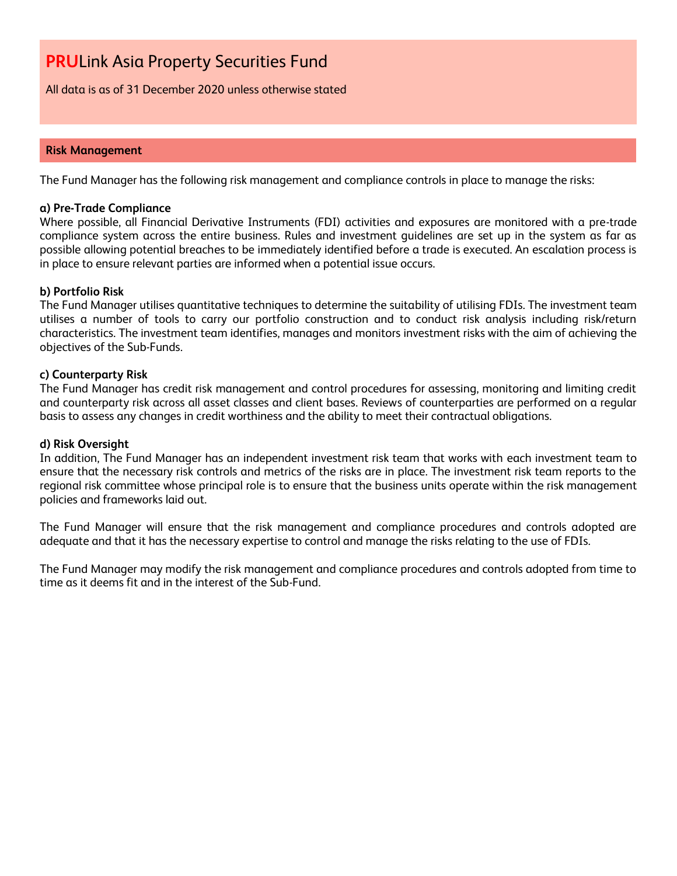All data is as of 31 December 2020 unless otherwise stated

#### **Risk Management**

The Fund Manager has the following risk management and compliance controls in place to manage the risks:

#### **a) Pre-Trade Compliance**

Where possible, all Financial Derivative Instruments (FDI) activities and exposures are monitored with a pre-trade compliance system across the entire business. Rules and investment guidelines are set up in the system as far as possible allowing potential breaches to be immediately identified before a trade is executed. An escalation process is in place to ensure relevant parties are informed when a potential issue occurs.

#### **b) Portfolio Risk**

The Fund Manager utilises quantitative techniques to determine the suitability of utilising FDIs. The investment team utilises a number of tools to carry our portfolio construction and to conduct risk analysis including risk/return characteristics. The investment team identifies, manages and monitors investment risks with the aim of achieving the objectives of the Sub-Funds.

#### **c) Counterparty Risk**

The Fund Manager has credit risk management and control procedures for assessing, monitoring and limiting credit and counterparty risk across all asset classes and client bases. Reviews of counterparties are performed on a regular basis to assess any changes in credit worthiness and the ability to meet their contractual obligations.

#### **d) Risk Oversight**

In addition, The Fund Manager has an independent investment risk team that works with each investment team to ensure that the necessary risk controls and metrics of the risks are in place. The investment risk team reports to the regional risk committee whose principal role is to ensure that the business units operate within the risk management policies and frameworks laid out.

The Fund Manager will ensure that the risk management and compliance procedures and controls adopted are adequate and that it has the necessary expertise to control and manage the risks relating to the use of FDIs.

The Fund Manager may modify the risk management and compliance procedures and controls adopted from time to time as it deems fit and in the interest of the Sub-Fund.